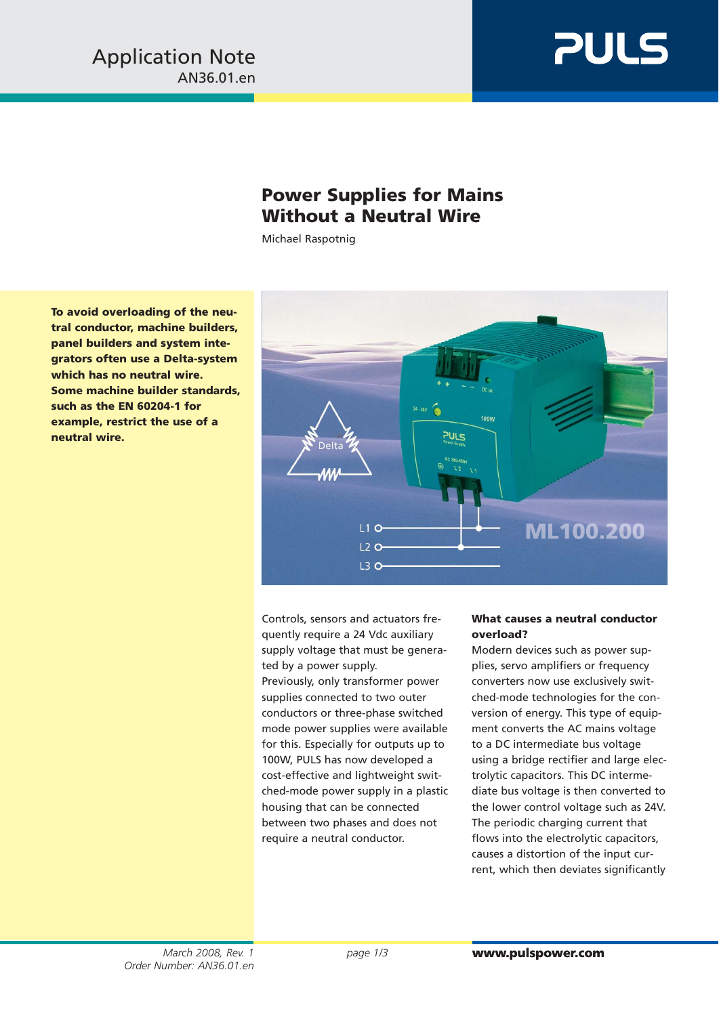

# **Power Supplies for Mains Without a Neutral Wire**

Michael Raspotnig

**To avoid overloading of the neutral conductor, machine builders, panel builders and system integrators often use a Delta-system which has no neutral wire. Some machine builder standards, such as the EN 60204-1 for example, restrict the use of a neutral wire.**



Controls, sensors and actuators frequently require a 24 Vdc auxiliary supply voltage that must be generated by a power supply.

Previously, only transformer power supplies connected to two outer conductors or three-phase switched mode power supplies were available for this. Especially for outputs up to 100W, PULS has now developed a cost-effective and lightweight switched-mode power supply in a plastic housing that can be connected between two phases and does not require a neutral conductor.

## **What causes a neutral conductor overload?**

Modern devices such as power supplies, servo amplifiers or frequency converters now use exclusively switched-mode technologies for the conversion of energy. This type of equipment converts the AC mains voltage to a DC intermediate bus voltage using a bridge rectifier and large electrolytic capacitors. This DC intermediate bus voltage is then converted to the lower control voltage such as 24V. The periodic charging current that flows into the electrolytic capacitors, causes a distortion of the input current, which then deviates significantly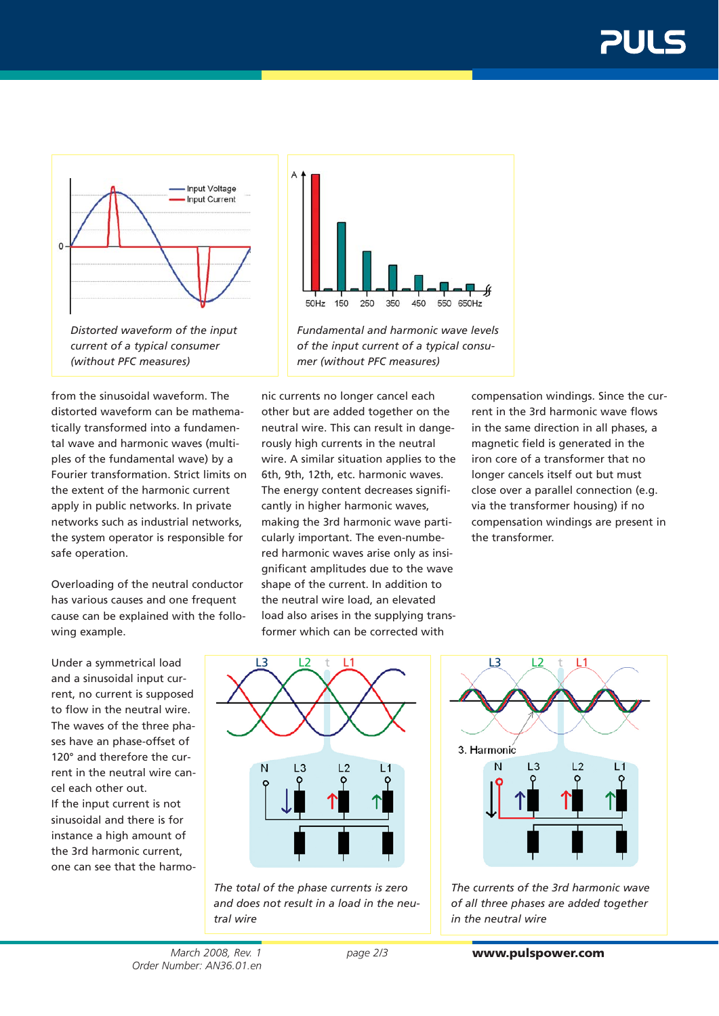

*current of a typical consumer (without PFC measures)*

from the sinusoidal waveform. The distorted waveform can be mathematically transformed into a fundamental wave and harmonic waves (multiples of the fundamental wave) by a Fourier transformation. Strict limits on the extent of the harmonic current apply in public networks. In private networks such as industrial networks, the system operator is responsible for safe operation.

Overloading of the neutral conductor has various causes and one frequent cause can be explained with the following example.

Under a symmetrical load and a sinusoidal input current, no current is supposed to flow in the neutral wire. The waves of the three phases have an phase-offset of 120° and therefore the current in the neutral wire cancel each other out. If the input current is not sinusoidal and there is for instance a high amount of the 3rd harmonic current, one can see that the harmo-



*Fundamental and harmonic wave levels of the input current of a typical consumer (without PFC measures)*

nic currents no longer cancel each other but are added together on the neutral wire. This can result in dangerously high currents in the neutral wire. A similar situation applies to the 6th, 9th, 12th, etc. harmonic waves. The energy content decreases significantly in higher harmonic waves, making the 3rd harmonic wave particularly important. The even-numbered harmonic waves arise only as insignificant amplitudes due to the wave shape of the current. In addition to the neutral wire load, an elevated load also arises in the supplying transformer which can be corrected with

compensation windings. Since the current in the 3rd harmonic wave flows in the same direction in all phases, a magnetic field is generated in the iron core of a transformer that no longer cancels itself out but must close over a parallel connection (e.g. via the transformer housing) if no compensation windings are present in the transformer.



*The total of the phase currents is zero and does not result in a load in the neutral wire*



*The currents of the 3rd harmonic wave of all three phases are added together in the neutral wire*